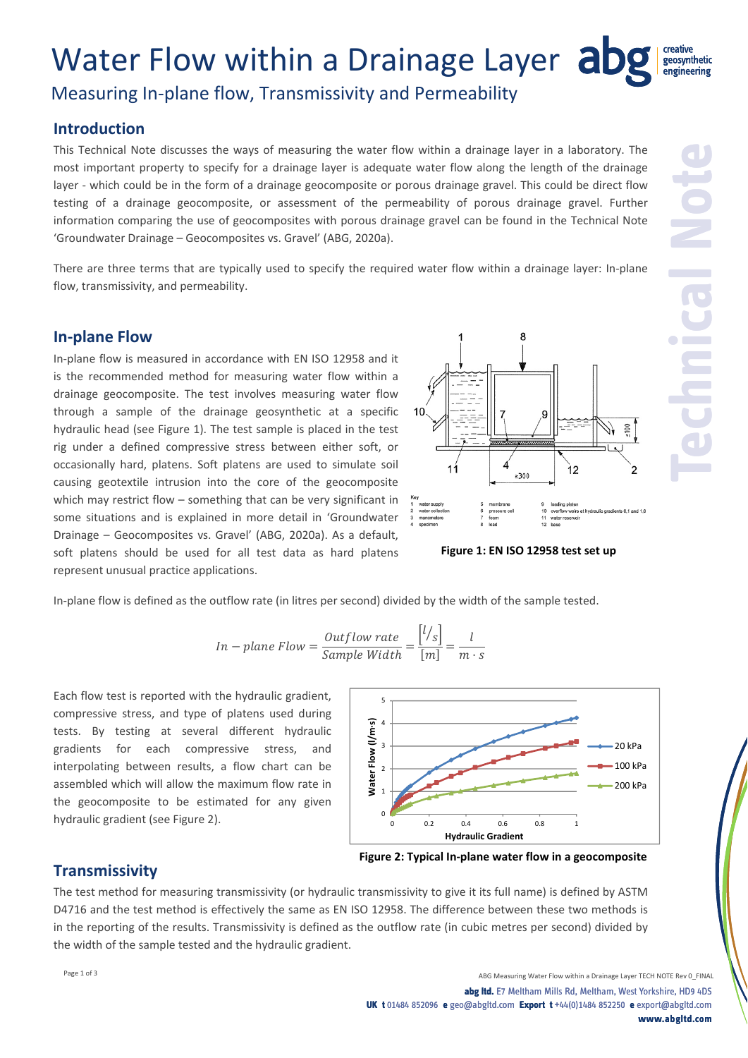# Water Flow within a Drainage Layer abg

## Measuring In‐plane flow, Transmissivity and Permeability

### **Introduction**

This Technical Note discusses the ways of measuring the water flow within a drainage layer in a laboratory. The most important property to specify for a drainage layer is adequate water flow along the length of the drainage layer - which could be in the form of a drainage geocomposite or porous drainage gravel. This could be direct flow testing of a drainage geocomposite, or assessment of the permeability of porous drainage gravel. Further information comparing the use of geocomposites with porous drainage gravel can be found in the Technical Note 'Groundwater Drainage – Geocomposites vs. Gravel' (ABG, 2020a).

There are three terms that are typically used to specify the required water flow within a drainage layer: In-plane flow, transmissivity, and permeability.

#### **In‐plane Flow**

In‐plane flow is measured in accordance with EN ISO 12958 and it is the recommended method for measuring water flow within a drainage geocomposite. The test involves measuring water flow through a sample of the drainage geosynthetic at a specific hydraulic head (see Figure 1). The test sample is placed in the test rig under a defined compressive stress between either soft, or occasionally hard, platens. Soft platens are used to simulate soil causing geotextile intrusion into the core of the geocomposite which may restrict flow – something that can be very significant in some situations and is explained in more detail in 'Groundwater Drainage – Geocomposites vs. Gravel' (ABG, 2020a). As a default, soft platens should be used for all test data as hard platens represent unusual practice applications.



**Figure 1: EN ISO 12958 test set up**

In-plane flow is defined as the outflow rate (in litres per second) divided by the width of the sample tested.

*In* – plane Flow = 
$$
\frac{Output{b}{SampleWidth}} = \frac{[l/s]}{[m]} = \frac{l}{m \cdot s}
$$

Each flow test is reported with the hydraulic gradient, compressive stress, and type of platens used during tests. By testing at several different hydraulic gradients for each compressive stress, and interpolating between results, a flow chart can be assembled which will allow the maximum flow rate in the geocomposite to be estimated for any given hydraulic gradient (see Figure 2).



#### **Transmissivity**

The test method for measuring transmissivity (or hydraulic transmissivity to give it its full name) is defined by ASTM D4716 and the test method is effectively the same as EN ISO 12958. The difference between these two methods is in the reporting of the results. Transmissivity is defined as the outflow rate (in cubic metres per second) divided by the width of the sample tested and the hydraulic gradient.

geosynthetic engineering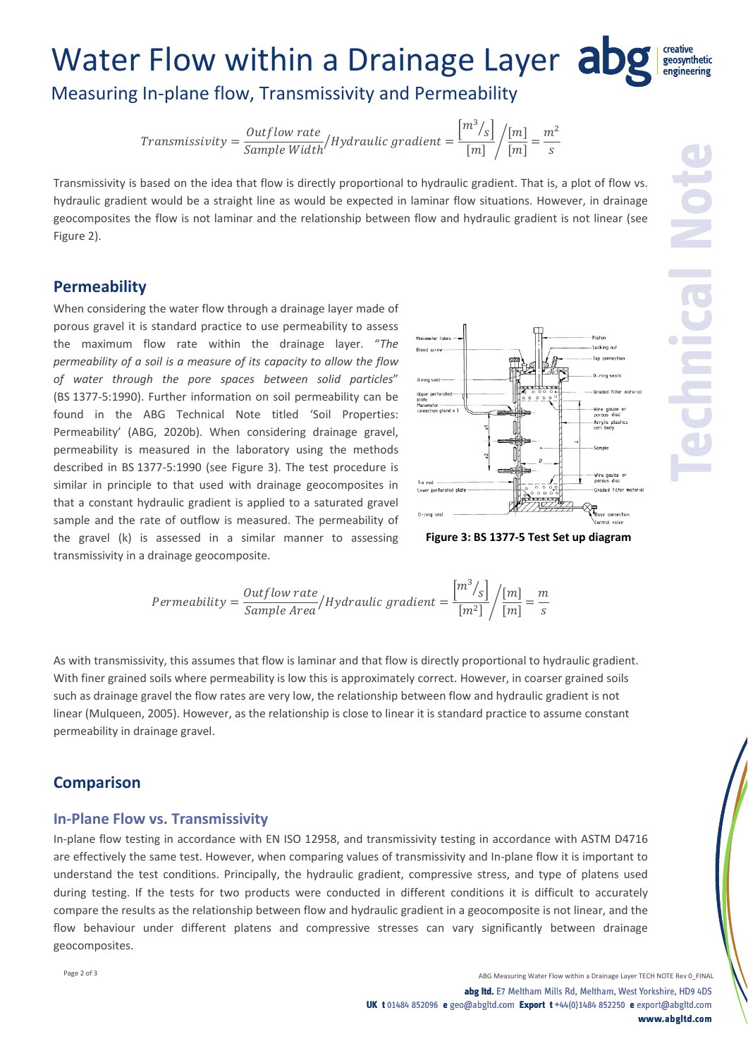#### Water Flow within a Drainage Layer abg geosynthetic engineering

Measuring In‐plane flow, Transmissivity and Permeability

 $Transmissivity = \frac{Outputflow\ rate}{Sample\ Width} / Hybrid random = \frac{m^3 /_S}{[m]}$  $[m]$  $\sqrt{\frac{[m]}{[m]}} = \frac{m^2}{s}$ 

Transmissivity is based on the idea that flow is directly proportional to hydraulic gradient. That is, a plot of flow vs. hydraulic gradient would be a straight line as would be expected in laminar flow situations. However, in drainage geocomposites the flow is not laminar and the relationship between flow and hydraulic gradient is not linear (see Figure 2).

#### **Permeability**

When considering the water flow through a drainage layer made of porous gravel it is standard practice to use permeability to assess the maximum flow rate within the drainage layer. "*The permeability of a soil is a measure of its capacity to allow the flow of water through the pore spaces between solid particles*" (BS 1377‐5:1990). Further information on soil permeability can be found in the ABG Technical Note titled 'Soil Properties: Permeability' (ABG, 2020b). When considering drainage gravel, permeability is measured in the laboratory using the methods described in BS 1377‐5:1990 (see Figure 3). The test procedure is similar in principle to that used with drainage geocomposites in that a constant hydraulic gradient is applied to a saturated gravel sample and the rate of outflow is measured. The permeability of the gravel (k) is assessed in a similar manner to assessing transmissivity in a drainage geocomposite.



**Figure 3: BS 1377‐5 Test Set up diagram**

Permeability = 
$$
\frac{Output}{Sample \text{ Area}} / Hydroulic \text{ gradient} = \frac{m^3 / s}{[m^2]} / \frac{[m]}{[m]} = \frac{m}{s}
$$

As with transmissivity, this assumes that flow is laminar and that flow is directly proportional to hydraulic gradient. With finer grained soils where permeability is low this is approximately correct. However, in coarser grained soils such as drainage gravel the flow rates are very low, the relationship between flow and hydraulic gradient is not linear (Mulqueen, 2005). However, as the relationship is close to linear it is standard practice to assume constant permeability in drainage gravel.

#### **Comparison**

#### **In‐Plane Flow vs. Transmissivity**

In‐plane flow testing in accordance with EN ISO 12958, and transmissivity testing in accordance with ASTM D4716 are effectively the same test. However, when comparing values of transmissivity and In‐plane flow it is important to understand the test conditions. Principally, the hydraulic gradient, compressive stress, and type of platens used during testing. If the tests for two products were conducted in different conditions it is difficult to accurately compare the results as the relationship between flow and hydraulic gradient in a geocomposite is not linear, and the flow behaviour under different platens and compressive stresses can vary significantly between drainage geocomposites.